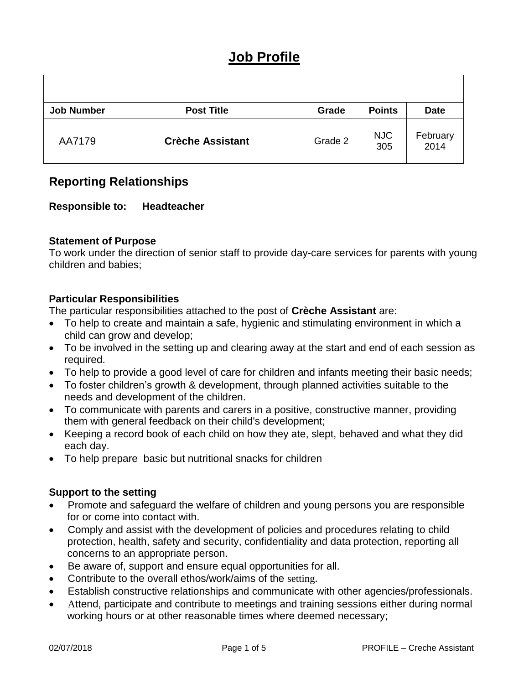# **Job Profile**

| <b>Job Number</b> | <b>Post Title</b>       | Grade   | <b>Points</b>     | <b>Date</b>      |
|-------------------|-------------------------|---------|-------------------|------------------|
| AA7179            | <b>Crèche Assistant</b> | Grade 2 | <b>NJC</b><br>305 | February<br>2014 |

# **Reporting Relationships**

# **Responsible to: Headteacher**

## **Statement of Purpose**

To work under the direction of senior staff to provide day-care services for parents with young children and babies;

## **Particular Responsibilities**

The particular responsibilities attached to the post of **Crèche Assistant** are:

- To help to create and maintain a safe, hygienic and stimulating environment in which a child can grow and develop;
- To be involved in the setting up and clearing away at the start and end of each session as required.
- To help to provide a good level of care for children and infants meeting their basic needs;
- To foster children's growth & development, through planned activities suitable to the needs and development of the children.
- To communicate with parents and carers in a positive, constructive manner, providing them with general feedback on their child's development;
- Keeping a record book of each child on how they ate, slept, behaved and what they did each day.
- To help prepare basic but nutritional snacks for children

### **Support to the setting**

- Promote and safeguard the welfare of children and young persons you are responsible for or come into contact with.
- Comply and assist with the development of policies and procedures relating to child protection, health, safety and security, confidentiality and data protection, reporting all concerns to an appropriate person.
- Be aware of, support and ensure equal opportunities for all.
- Contribute to the overall ethos/work/aims of the setting.
- Establish constructive relationships and communicate with other agencies/professionals.
- Attend, participate and contribute to meetings and training sessions either during normal working hours or at other reasonable times where deemed necessary;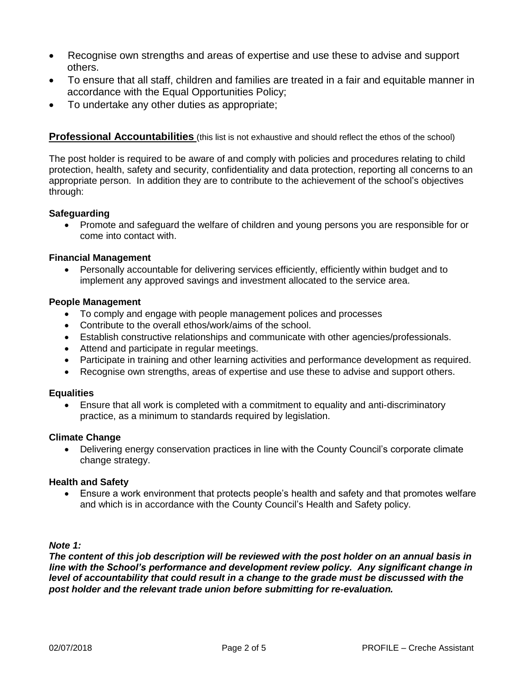- Recognise own strengths and areas of expertise and use these to advise and support others.
- To ensure that all staff, children and families are treated in a fair and equitable manner in accordance with the Equal Opportunities Policy;
- To undertake any other duties as appropriate;

**Professional Accountabilities** (this list is not exhaustive and should reflect the ethos of the school)

The post holder is required to be aware of and comply with policies and procedures relating to child protection, health, safety and security, confidentiality and data protection, reporting all concerns to an appropriate person. In addition they are to contribute to the achievement of the school's objectives through:

#### **Safeguarding**

 Promote and safeguard the welfare of children and young persons you are responsible for or come into contact with.

#### **Financial Management**

 Personally accountable for delivering services efficiently, efficiently within budget and to implement any approved savings and investment allocated to the service area.

#### **People Management**

- To comply and engage with people management polices and processes
- Contribute to the overall ethos/work/aims of the school.
- Establish constructive relationships and communicate with other agencies/professionals.
- Attend and participate in regular meetings.
- Participate in training and other learning activities and performance development as required.
- Recognise own strengths, areas of expertise and use these to advise and support others.

#### **Equalities**

 Ensure that all work is completed with a commitment to equality and anti-discriminatory practice, as a minimum to standards required by legislation.

#### **Climate Change**

• Delivering energy conservation practices in line with the County Council's corporate climate change strategy.

#### **Health and Safety**

 Ensure a work environment that protects people's health and safety and that promotes welfare and which is in accordance with the County Council's Health and Safety policy.

#### *Note 1:*

*The content of this job description will be reviewed with the post holder on an annual basis in line with the School's performance and development review policy. Any significant change in*  level of accountability that could result in a change to the grade must be discussed with the *post holder and the relevant trade union before submitting for re-evaluation.*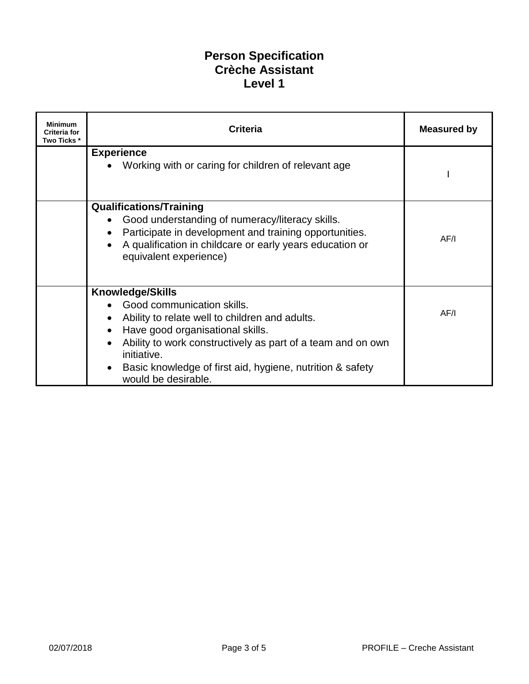# **Person Specification Crèche Assistant Level 1**

| <b>Minimum</b><br><b>Criteria for</b><br>Two Ticks * | <b>Criteria</b>                                                                                           | <b>Measured by</b> |
|------------------------------------------------------|-----------------------------------------------------------------------------------------------------------|--------------------|
|                                                      | <b>Experience</b><br>Working with or caring for children of relevant age                                  |                    |
|                                                      |                                                                                                           |                    |
|                                                      | <b>Qualifications/Training</b>                                                                            |                    |
|                                                      | Good understanding of numeracy/literacy skills.<br>Participate in development and training opportunities. |                    |
|                                                      | A qualification in childcare or early years education or                                                  | AF/I               |
|                                                      | equivalent experience)                                                                                    |                    |
|                                                      | <b>Knowledge/Skills</b>                                                                                   |                    |
|                                                      | Good communication skills.                                                                                |                    |
|                                                      | Ability to relate well to children and adults.                                                            | AF/I               |
|                                                      | Have good organisational skills.                                                                          |                    |
|                                                      | Ability to work constructively as part of a team and on own<br>initiative.                                |                    |
|                                                      | Basic knowledge of first aid, hygiene, nutrition & safety<br>would be desirable.                          |                    |